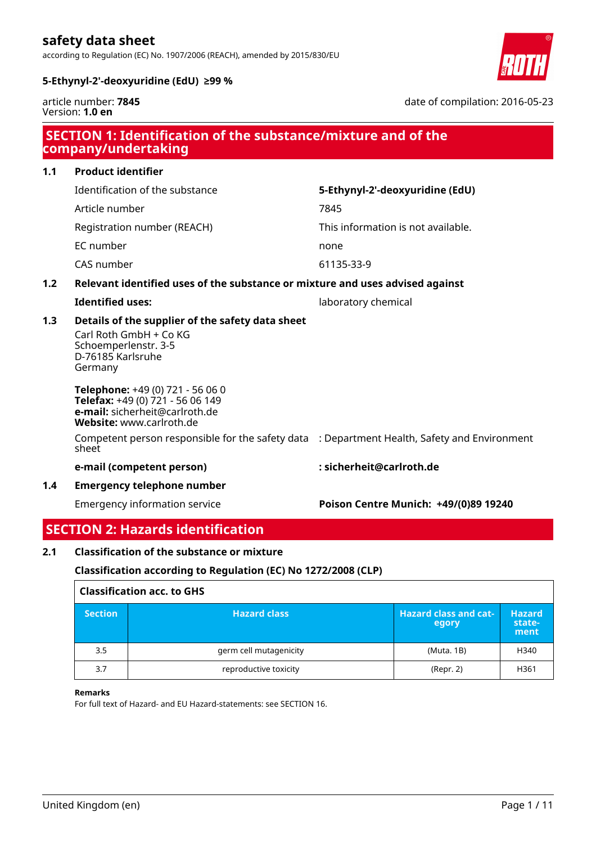according to Regulation (EC) No. 1907/2006 (REACH), amended by 2015/830/EU



date of compilation: 2016-05-23

# **5-Ethynyl-2'-deoxyuridine (EdU) ≥99 %**

article number: **7845** Version: **1.0 en**

|     | <b>SECTION 1: Identification of the substance/mixture and of the</b><br>company/undertaking                                        |                                       |  |  |
|-----|------------------------------------------------------------------------------------------------------------------------------------|---------------------------------------|--|--|
| 1.1 | <b>Product identifier</b>                                                                                                          |                                       |  |  |
|     | Identification of the substance                                                                                                    | 5-Ethynyl-2'-deoxyuridine (EdU)       |  |  |
|     | Article number                                                                                                                     | 7845                                  |  |  |
|     | Registration number (REACH)                                                                                                        | This information is not available.    |  |  |
|     | EC number                                                                                                                          | none                                  |  |  |
|     | CAS number                                                                                                                         | 61135-33-9                            |  |  |
| 1.2 | Relevant identified uses of the substance or mixture and uses advised against                                                      |                                       |  |  |
|     | <b>Identified uses:</b>                                                                                                            | laboratory chemical                   |  |  |
| 1.3 | Details of the supplier of the safety data sheet<br>Carl Roth GmbH + Co KG<br>Schoemperlenstr. 3-5<br>D-76185 Karlsruhe<br>Germany |                                       |  |  |
|     | Telephone: +49 (0) 721 - 56 06 0<br>Telefax: +49 (0) 721 - 56 06 149<br>e-mail: sicherheit@carlroth.de<br>Website: www.carlroth.de |                                       |  |  |
|     | Competent person responsible for the safety data : Department Health, Safety and Environment<br>sheet                              |                                       |  |  |
|     | e-mail (competent person)                                                                                                          | : sicherheit@carlroth.de              |  |  |
| 1.4 | <b>Emergency telephone number</b>                                                                                                  |                                       |  |  |
|     | Emergency information service                                                                                                      | Poison Centre Munich: +49/(0)89 19240 |  |  |

# **SECTION 2: Hazards identification**

# **2.1 Classification of the substance or mixture**

# **Classification according to Regulation (EC) No 1272/2008 (CLP)**

| <b>Classification acc. to GHS</b> |                        |                                       |                                 |  |
|-----------------------------------|------------------------|---------------------------------------|---------------------------------|--|
| <b>Section</b>                    | <b>Hazard class</b>    | <b>Hazard class and cat-</b><br>egory | <b>Hazard</b><br>state-<br>ment |  |
| 3.5                               | germ cell mutagenicity | (Muta. 1B)                            | H340                            |  |
| 3.7                               | reproductive toxicity  | (Repr. 2)                             | H361                            |  |

#### **Remarks**

For full text of Hazard- and EU Hazard-statements: see SECTION 16.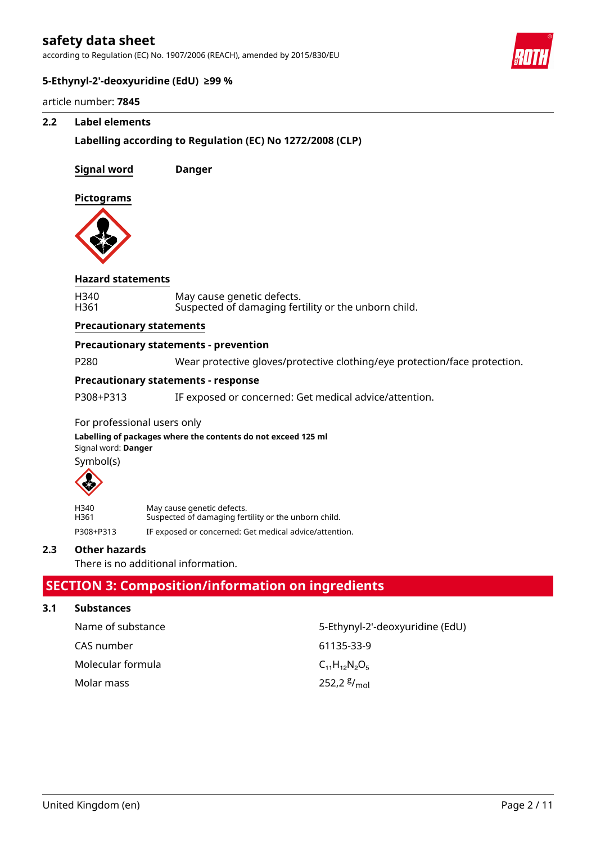according to Regulation (EC) No. 1907/2006 (REACH), amended by 2015/830/EU



# **5-Ethynyl-2'-deoxyuridine (EdU) ≥99 %**

article number: **7845**

# **2.2 Label elements**

# **Labelling according to Regulation (EC) No 1272/2008 (CLP)**

**Signal word Danger**

**Pictograms**



#### **Hazard statements**

| H340 | May cause genetic defects.                           |
|------|------------------------------------------------------|
| H361 | Suspected of damaging fertility or the unborn child. |

#### **Precautionary statements**

#### **Precautionary statements - prevention**

P280 Wear protective gloves/protective clothing/eye protection/face protection.

# **Precautionary statements - response**

P308+P313 IF exposed or concerned: Get medical advice/attention.

### For professional users only

Signal word: **Danger Labelling of packages where the contents do not exceed 125 ml** Symbol(s)



| H340      | May cause genetic defects.                             |
|-----------|--------------------------------------------------------|
| H361      | Suspected of damaging fertility or the unborn child.   |
| P308+P313 | IF exposed or concerned: Get medical advice/attention. |

# **2.3 Other hazards**

There is no additional information.

# **SECTION 3: Composition/information on ingredients**

# **3.1 Substances**

| Name of substance | 5-Ethynyl-2'-deoxyuridine (EdU) |
|-------------------|---------------------------------|
| CAS number        | 61135-33-9                      |
| Molecular formula | $C_{11}H_{12}N_{2}O_{5}$        |
| Molar mass        | 252,2 $\frac{g}{mol}$           |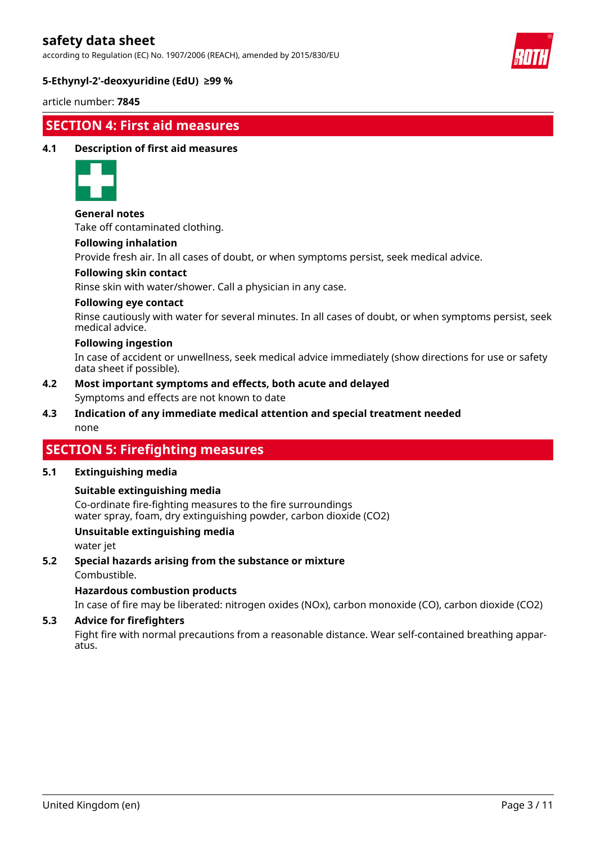according to Regulation (EC) No. 1907/2006 (REACH), amended by 2015/830/EU



# **5-Ethynyl-2'-deoxyuridine (EdU) ≥99 %**

article number: **7845**

# **SECTION 4: First aid measures**

# **4.1 Description of first aid measures**



**General notes**

Take off contaminated clothing.

#### **Following inhalation**

Provide fresh air. In all cases of doubt, or when symptoms persist, seek medical advice.

#### **Following skin contact**

Rinse skin with water/shower. Call a physician in any case.

#### **Following eye contact**

Rinse cautiously with water for several minutes. In all cases of doubt, or when symptoms persist, seek medical advice.

#### **Following ingestion**

In case of accident or unwellness, seek medical advice immediately (show directions for use or safety data sheet if possible).

- Symptoms and effects are not known to date **4.2 Most important symptoms and effects, both acute and delayed**
- none **4.3 Indication of any immediate medical attention and special treatment needed**

# **SECTION 5: Firefighting measures**

# **5.1 Extinguishing media**

# **Suitable extinguishing media**

Co-ordinate fire-fighting measures to the fire surroundings water spray, foam, dry extinguishing powder, carbon dioxide (CO2)

# **Unsuitable extinguishing media**

water jet

**5.2 Special hazards arising from the substance or mixture**

Combustible.

# **Hazardous combustion products**

In case of fire may be liberated: nitrogen oxides (NOx), carbon monoxide (CO), carbon dioxide (CO2)

# **5.3 Advice for firefighters**

Fight fire with normal precautions from a reasonable distance. Wear self-contained breathing apparatus.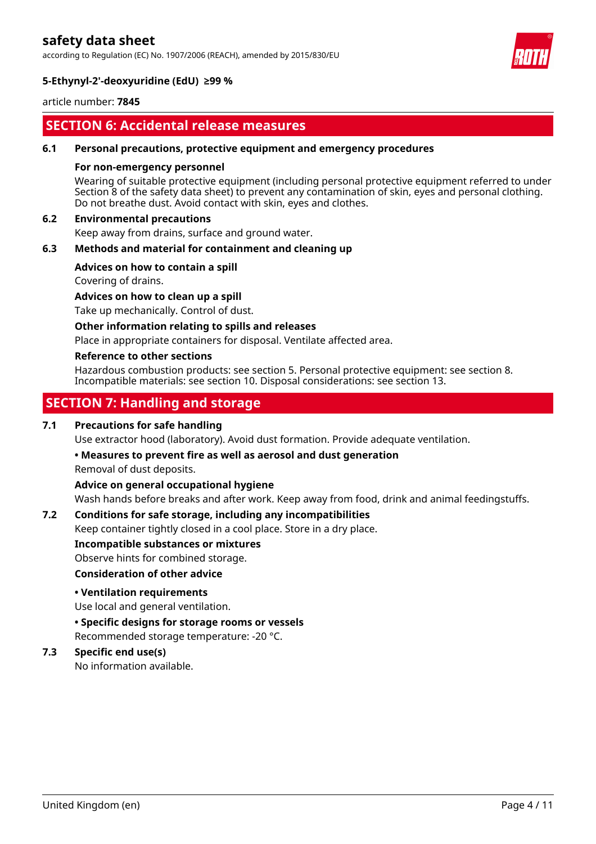according to Regulation (EC) No. 1907/2006 (REACH), amended by 2015/830/EU



# **5-Ethynyl-2'-deoxyuridine (EdU) ≥99 %**

article number: **7845**

# **SECTION 6: Accidental release measures**

#### **6.1 Personal precautions, protective equipment and emergency procedures**

#### **For non-emergency personnel**

Wearing of suitable protective equipment (including personal protective equipment referred to under Section 8 of the safety data sheet) to prevent any contamination of skin, eyes and personal clothing. Do not breathe dust. Avoid contact with skin, eyes and clothes.

# **6.2 Environmental precautions**

Keep away from drains, surface and ground water.

# **6.3 Methods and material for containment and cleaning up**

#### **Advices on how to contain a spill**

Covering of drains.

**Advices on how to clean up a spill**

Take up mechanically. Control of dust.

#### **Other information relating to spills and releases**

Place in appropriate containers for disposal. Ventilate affected area.

#### **Reference to other sections**

Hazardous combustion products: see section 5. Personal protective equipment: see section 8. Incompatible materials: see section 10. Disposal considerations: see section 13.

# **SECTION 7: Handling and storage**

# **7.1 Precautions for safe handling**

Use extractor hood (laboratory). Avoid dust formation. Provide adequate ventilation.

# **• Measures to prevent fire as well as aerosol and dust generation**

Removal of dust deposits.

# **Advice on general occupational hygiene**

Wash hands before breaks and after work. Keep away from food, drink and animal feedingstuffs.

# **7.2 Conditions for safe storage, including any incompatibilities**

Keep container tightly closed in a cool place. Store in a dry place.

**Incompatible substances or mixtures**

# Observe hints for combined storage.

#### **Consideration of other advice**

# **• Ventilation requirements**

Use local and general ventilation.

**• Specific designs for storage rooms or vessels**

Recommended storage temperature: -20 °C.

# **7.3 Specific end use(s)**

No information available.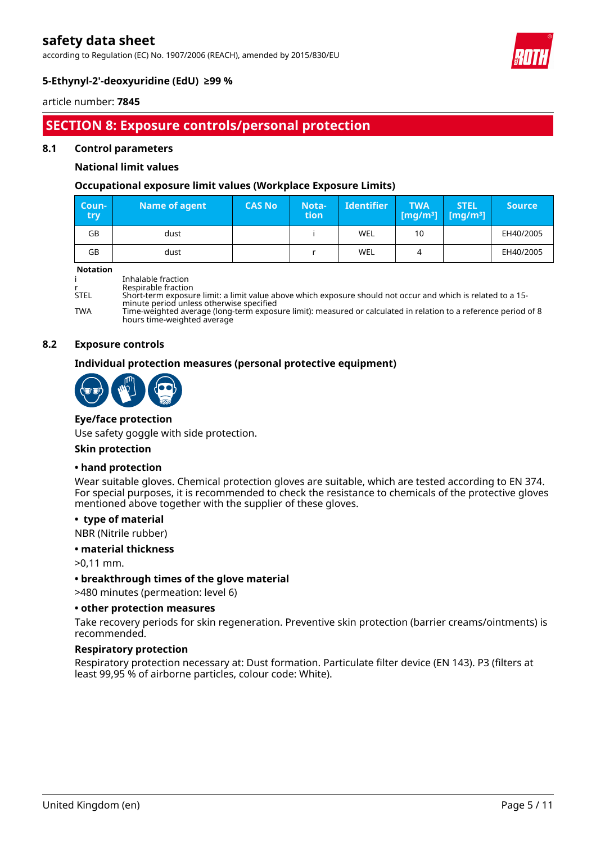according to Regulation (EC) No. 1907/2006 (REACH), amended by 2015/830/EU



# **5-Ethynyl-2'-deoxyuridine (EdU) ≥99 %**

article number: **7845**

# **SECTION 8: Exposure controls/personal protection**

#### **8.1 Control parameters**

# **National limit values**

# **Occupational exposure limit values (Workplace Exposure Limits)**

| Coun-<br><b>try</b> | Name of agent | <b>CAS No</b> | Nota-<br><b>tion</b> | <b>Identifier</b> | <b>TWA</b><br>$\lceil \lceil \mathsf{mg/m^3} \rceil \mid \lceil \mathsf{mg/m^3} \rceil \rceil$ | <b>STEL</b> | <b>Source</b> |
|---------------------|---------------|---------------|----------------------|-------------------|------------------------------------------------------------------------------------------------|-------------|---------------|
| GB                  | dust          |               |                      | <b>WEL</b>        | 10                                                                                             |             | EH40/2005     |
| GB                  | dust          |               |                      | <b>WEL</b>        |                                                                                                |             | EH40/2005     |

**Notation**

|  | Inhalable fraction |  |  |
|--|--------------------|--|--|
|  |                    |  |  |

r Respirable fraction<br>STEL Short-term exposure

Short-term exposure limit: a limit value above which exposure should not occur and which is related to a 15minute period unless otherwise specified

TWA Time-weighted average (long-term exposure limit): measured or calculated in relation to a reference period of 8 hours time-weighted average

#### **8.2 Exposure controls**

# **Individual protection measures (personal protective equipment)**



## **Eye/face protection**

Use safety goggle with side protection.

#### **Skin protection**

#### **• hand protection**

Wear suitable gloves. Chemical protection gloves are suitable, which are tested according to EN 374. For special purposes, it is recommended to check the resistance to chemicals of the protective gloves mentioned above together with the supplier of these gloves.

#### **• type of material**

NBR (Nitrile rubber)

#### **• material thickness**

>0,11 mm.

# **• breakthrough times of the glove material**

>480 minutes (permeation: level 6)

#### **• other protection measures**

Take recovery periods for skin regeneration. Preventive skin protection (barrier creams/ointments) is recommended.

# **Respiratory protection**

Respiratory protection necessary at: Dust formation. Particulate filter device (EN 143). P3 (filters at least 99,95 % of airborne particles, colour code: White).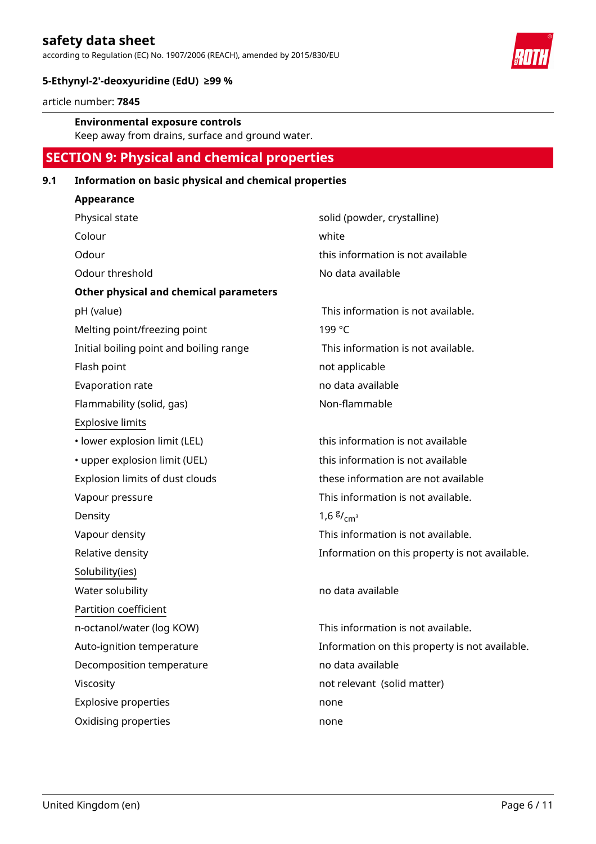according to Regulation (EC) No. 1907/2006 (REACH), amended by 2015/830/EU



# **5-Ethynyl-2'-deoxyuridine (EdU) ≥99 %**

article number: **7845**

# **Environmental exposure controls**

Keep away from drains, surface and ground water.

# **SECTION 9: Physical and chemical properties**

# **9.1 Information on basic physical and chemical properties**

| Appearance                              |                                                |
|-----------------------------------------|------------------------------------------------|
| Physical state                          | solid (powder, crystalline)                    |
| Colour                                  | white                                          |
| Odour                                   | this information is not available              |
| Odour threshold                         | No data available                              |
| Other physical and chemical parameters  |                                                |
| pH (value)                              | This information is not available.             |
| Melting point/freezing point            | 199 °C                                         |
| Initial boiling point and boiling range | This information is not available.             |
| Flash point                             | not applicable                                 |
| Evaporation rate                        | no data available                              |
| Flammability (solid, gas)               | Non-flammable                                  |
| <b>Explosive limits</b>                 |                                                |
| · lower explosion limit (LEL)           | this information is not available              |
| • upper explosion limit (UEL)           | this information is not available              |
| Explosion limits of dust clouds         | these information are not available            |
| Vapour pressure                         | This information is not available.             |
| Density                                 | $1,6 \frac{\text{g}}{\text{cm}^3}$             |
| Vapour density                          | This information is not available.             |
| Relative density                        | Information on this property is not available. |
| Solubility(ies)                         |                                                |
| Water solubility                        | no data available                              |
| Partition coefficient                   |                                                |
| n-octanol/water (log KOW)               | This information is not available.             |
| Auto-ignition temperature               | Information on this property is not available. |
| Decomposition temperature               | no data available                              |
| Viscosity                               | not relevant (solid matter)                    |
| <b>Explosive properties</b>             | none                                           |
| Oxidising properties                    | none                                           |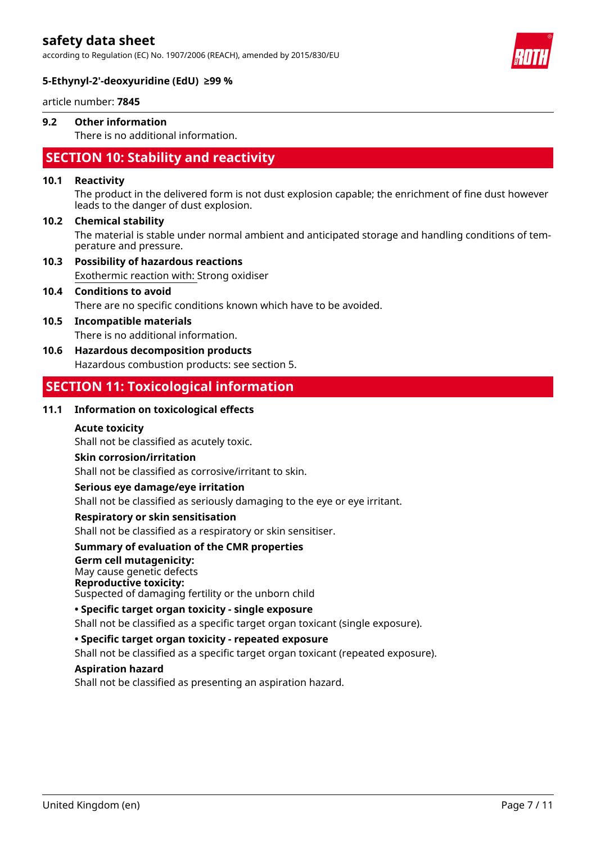according to Regulation (EC) No. 1907/2006 (REACH), amended by 2015/830/EU



# **5-Ethynyl-2'-deoxyuridine (EdU) ≥99 %**

article number: **7845**

# **9.2 Other information**

There is no additional information.

# **SECTION 10: Stability and reactivity**

#### **10.1 Reactivity**

The product in the delivered form is not dust explosion capable; the enrichment of fine dust however leads to the danger of dust explosion.

#### **10.2 Chemical stability**

The material is stable under normal ambient and anticipated storage and handling conditions of temperature and pressure.

Exothermic reaction with: Strong oxidiser **10.3 Possibility of hazardous reactions**

# There are no specific conditions known which have to be avoided. **10.4 Conditions to avoid**

There is no additional information. **10.5 Incompatible materials**

# **10.6 Hazardous decomposition products**

Hazardous combustion products: see section 5.

# **SECTION 11: Toxicological information**

# **11.1 Information on toxicological effects**

# **Acute toxicity**

Shall not be classified as acutely toxic.

# **Skin corrosion/irritation**

Shall not be classified as corrosive/irritant to skin.

# **Serious eye damage/eye irritation**

Shall not be classified as seriously damaging to the eye or eye irritant.

# **Respiratory or skin sensitisation**

Shall not be classified as a respiratory or skin sensitiser.

# **Summary of evaluation of the CMR properties**

# **Germ cell mutagenicity:**

May cause genetic defects

# **Reproductive toxicity:**

Suspected of damaging fertility or the unborn child

# **• Specific target organ toxicity - single exposure**

Shall not be classified as a specific target organ toxicant (single exposure).

# **• Specific target organ toxicity - repeated exposure**

Shall not be classified as a specific target organ toxicant (repeated exposure).

# **Aspiration hazard**

Shall not be classified as presenting an aspiration hazard.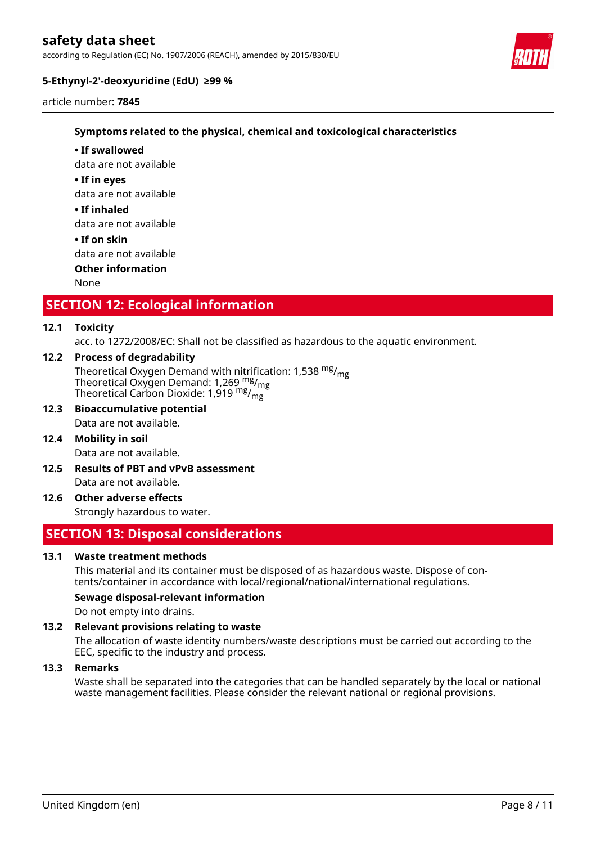according to Regulation (EC) No. 1907/2006 (REACH), amended by 2015/830/EU



# **5-Ethynyl-2'-deoxyuridine (EdU) ≥99 %**

article number: **7845**

# **Symptoms related to the physical, chemical and toxicological characteristics**

- data are not available **• If swallowed**
- **If in eyes**

data are not available

**• If inhaled**

data are not available

**• If on skin**

data are not available

**Other information**

None

# **SECTION 12: Ecological information**

# **12.1 Toxicity**

acc. to 1272/2008/EC: Shall not be classified as hazardous to the aquatic environment.

# **12.2 Process of degradability**

Theoretical Oxygen Demand with nitrification: 1,538  $mg/mg$ Theoretical Oxygen Demand: 1,269 mg/mg Theoretical Carbon Dioxide: 1,919 mg/<sub>mg</sub>

- Data are not available. **12.3 Bioaccumulative potential**
- Data are not available. **12.4 Mobility in soil**
- Data are not available. **12.5 Results of PBT and vPvB assessment**
- Strongly hazardous to water. **12.6 Other adverse effects**

# **SECTION 13: Disposal considerations**

# **13.1 Waste treatment methods**

This material and its container must be disposed of as hazardous waste. Dispose of contents/container in accordance with local/regional/national/international regulations.

# **Sewage disposal-relevant information**

Do not empty into drains.

# **13.2 Relevant provisions relating to waste**

The allocation of waste identity numbers/waste descriptions must be carried out according to the EEC, specific to the industry and process.

# **13.3 Remarks**

Waste shall be separated into the categories that can be handled separately by the local or national waste management facilities. Please consider the relevant national or regional provisions.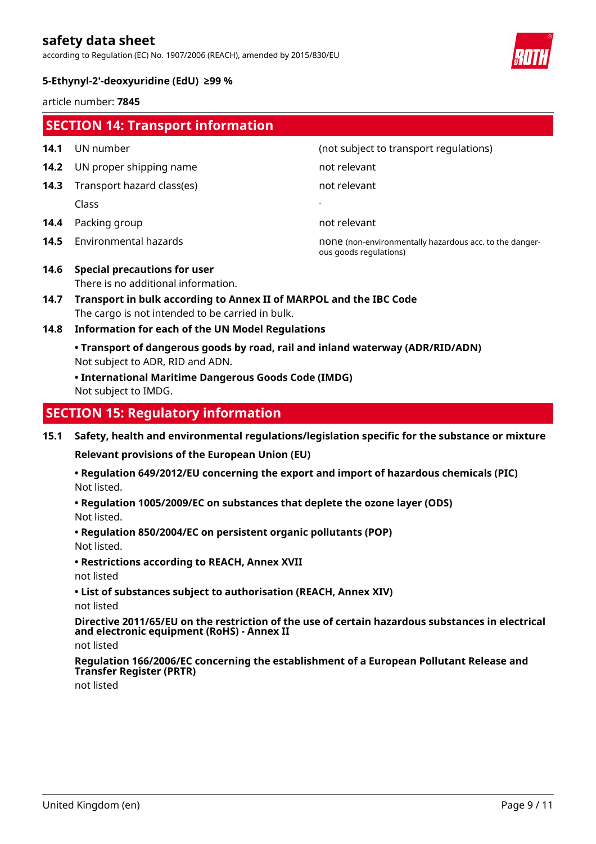according to Regulation (EC) No. 1907/2006 (REACH), amended by 2015/830/EU



# **5-Ethynyl-2'-deoxyuridine (EdU) ≥99 %**

article number: **7845**

|              | <b>SECTION 14: Transport information</b>                                                                                                                                                             |                                                                                   |  |
|--------------|------------------------------------------------------------------------------------------------------------------------------------------------------------------------------------------------------|-----------------------------------------------------------------------------------|--|
| 14.1         | UN number                                                                                                                                                                                            | (not subject to transport regulations)                                            |  |
| 14.2         | UN proper shipping name                                                                                                                                                                              | not relevant                                                                      |  |
| 14.3         | Transport hazard class(es)                                                                                                                                                                           | not relevant                                                                      |  |
|              | Class                                                                                                                                                                                                |                                                                                   |  |
| 14.4         | Packing group                                                                                                                                                                                        | not relevant                                                                      |  |
| 14.5         | Environmental hazards                                                                                                                                                                                | none (non-environmentally hazardous acc. to the danger-<br>ous goods regulations) |  |
| 14.6<br>14.7 | <b>Special precautions for user</b><br>There is no additional information.<br>Transport in bulk according to Annex II of MARPOL and the IBC Code<br>The cargo is not intended to be carried in bulk. |                                                                                   |  |
| 14.8         | <b>Information for each of the UN Model Regulations</b>                                                                                                                                              |                                                                                   |  |
|              | • Transport of dangerous goods by road, rail and inland waterway (ADR/RID/ADN)<br>Not subject to ADR, RID and ADN.<br>• International Maritime Dangerous Goods Code (IMDG)<br>Not subject to IMDG.   |                                                                                   |  |
|              | <b>SECTION 15: Regulatory information</b>                                                                                                                                                            |                                                                                   |  |

**15.1 Safety, health and environmental regulations/legislation specific for the substance or mixture**

**Relevant provisions of the European Union (EU)**

Not listed. **• Regulation 649/2012/EU concerning the export and import of hazardous chemicals (PIC)**

- Not listed. **• Regulation 1005/2009/EC on substances that deplete the ozone layer (ODS)**
- Not listed. **• Regulation 850/2004/EC on persistent organic pollutants (POP)**
- **Restrictions according to REACH, Annex XVII**
- not listed
- **List of substances subject to authorisation (REACH, Annex XIV)**

not listed

**Directive 2011/65/EU on the restriction of the use of certain hazardous substances in electrical and electronic equipment (RoHS) - Annex II**

not listed

**Regulation 166/2006/EC concerning the establishment of a European Pollutant Release and Transfer Register (PRTR)**

not listed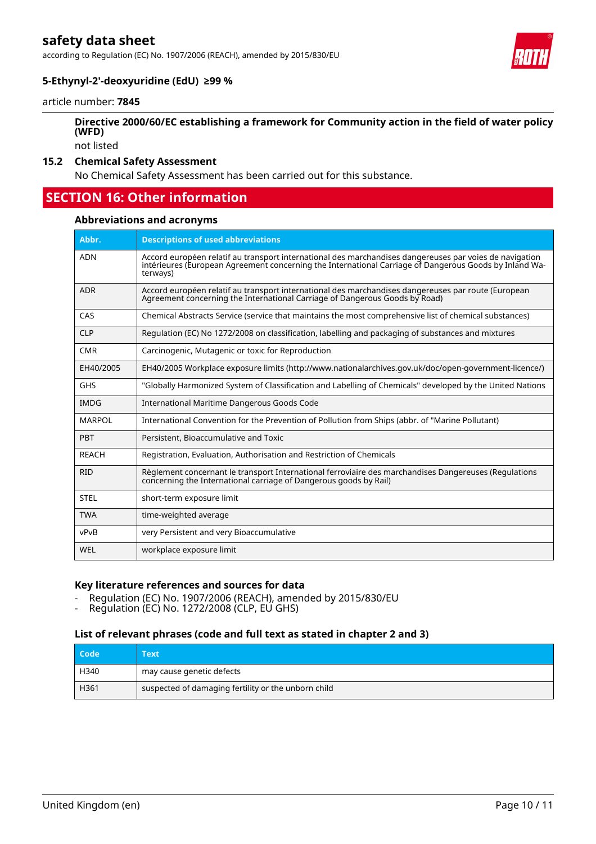according to Regulation (EC) No. 1907/2006 (REACH), amended by 2015/830/EU



# **5-Ethynyl-2'-deoxyuridine (EdU) ≥99 %**

article number: **7845**

# **Directive 2000/60/EC establishing a framework for Community action in the field of water policy (WFD)**

not listed

# **15.2 Chemical Safety Assessment**

No Chemical Safety Assessment has been carried out for this substance.

# **SECTION 16: Other information**

#### **Abbreviations and acronyms**

| Abbr.         | <b>Descriptions of used abbreviations</b>                                                                                                                                                                                     |
|---------------|-------------------------------------------------------------------------------------------------------------------------------------------------------------------------------------------------------------------------------|
| <b>ADN</b>    | Accord européen relatif au transport international des marchandises dangereuses par voies de navigation<br>intérieures (European Agreement concerning the International Carriage of Dangerous Goods by Inland Wa-<br>terways) |
| <b>ADR</b>    | Accord européen relatif au transport international des marchandises dangereuses par route (European<br>Agreement concerning the International Carriage of Dangerous Goods by Road)                                            |
| CAS           | Chemical Abstracts Service (service that maintains the most comprehensive list of chemical substances)                                                                                                                        |
| <b>CLP</b>    | Regulation (EC) No 1272/2008 on classification, labelling and packaging of substances and mixtures                                                                                                                            |
| <b>CMR</b>    | Carcinogenic, Mutagenic or toxic for Reproduction                                                                                                                                                                             |
| EH40/2005     | EH40/2005 Workplace exposure limits (http://www.nationalarchives.gov.uk/doc/open-government-licence/)                                                                                                                         |
| <b>GHS</b>    | "Globally Harmonized System of Classification and Labelling of Chemicals" developed by the United Nations                                                                                                                     |
| <b>IMDG</b>   | International Maritime Dangerous Goods Code                                                                                                                                                                                   |
| <b>MARPOL</b> | International Convention for the Prevention of Pollution from Ships (abbr. of "Marine Pollutant)                                                                                                                              |
| PBT           | Persistent, Bioaccumulative and Toxic                                                                                                                                                                                         |
| <b>REACH</b>  | Registration, Evaluation, Authorisation and Restriction of Chemicals                                                                                                                                                          |
| <b>RID</b>    | Règlement concernant le transport International ferroviaire des marchandises Dangereuses (Regulations<br>concerning the International carriage of Dangerous goods by Rail)                                                    |
| <b>STEL</b>   | short-term exposure limit                                                                                                                                                                                                     |
| <b>TWA</b>    | time-weighted average                                                                                                                                                                                                         |
| vPvB          | very Persistent and very Bioaccumulative                                                                                                                                                                                      |
| WEL           | workplace exposure limit                                                                                                                                                                                                      |

#### **Key literature references and sources for data**

- Regulation (EC) No. 1907/2006 (REACH), amended by 2015/830/EU<br>- Regulation (EC) No. 1272/2008 (CLP, EU GHS)
- Regulation (EC) No. 1272/2008 (CLP, EU GHS)

# **List of relevant phrases (code and full text as stated in chapter 2 and 3)**

| Code | Text                                                |
|------|-----------------------------------------------------|
| H340 | may cause genetic defects                           |
| H361 | suspected of damaging fertility or the unborn child |